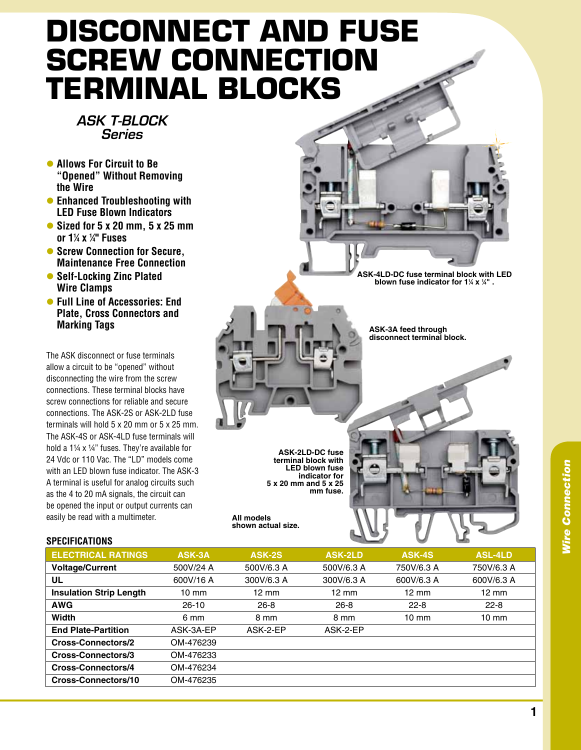## **Disconnect and Fuse Screw Connection Terminal Blocks**

## *ASK T-BLOCK Series*

- **Allows For Circuit to Be "Opened" Without Removing the Wire**
- **Enhanced Troubleshooting with LED Fuse Blown Indicators**
- Sized for 5 x 20 mm, 5 x 25 mm **or 11 ⁄4 x 1 ⁄4" Fuses**
- $\bullet$  **Screw Connection for Secure. Maintenance Free Connection**
- **Self-Locking Zinc Plated Wire Clamps**
- **Full Line of Accessories: End Plate, Cross Connectors and Marking Tags**

The ASK disconnect or fuse terminals allow a circuit to be "opened" without disconnecting the wire from the screw connections. These terminal blocks have screw connections for reliable and secure connections. The ASK-2S or ASK-2LD fuse terminals will hold 5 x 20 mm or 5 x 25 mm. The ASK-4S or ASK-4LD fuse terminals will hold a 1¼ x ¼" fuses. They're available for 24 Vdc or 110 Vac. The "LD" models come with an LED blown fuse indicator. The ASK-3 A terminal is useful for analog circuits such as the 4 to 20 mA signals, the circuit can be opened the input or output currents can easily be read with a multimeter.

## **specifications**

**ASK-4LD-DC fuse terminal block with LED**  *b***lown fuse indicator for 1¼ x ¼" .** 

**ASK-3A feed through disconnect terminal block.**

**ASK-2LD-DC fuse terminal block with LED blown fuse indicator for 5 x 20 mm and 5 x 25 mm fuse.**

**All models shown actual size.**

| <b>ELECTRICAL RATINGS</b>      | ASK-3A          | ASK-2S          | <b>ASK-2LD</b>  | <b>ASK-4S</b>   | <b>ASL-4LD</b>  |
|--------------------------------|-----------------|-----------------|-----------------|-----------------|-----------------|
| <b>Voltage/Current</b>         | 500V/24 A       | 500V/6.3 A      | 500V/6.3 A      | 750V/6.3 A      | 750V/6.3 A      |
| UL                             | 600V/16 A       | 300V/6.3 A      | 300V/6.3 A      | 600V/6.3 A      | 600V/6.3 A      |
| <b>Insulation Strip Length</b> | $10 \text{ mm}$ | $12 \text{ mm}$ | $12 \text{ mm}$ | $12 \text{ mm}$ | $12 \text{ mm}$ |
| <b>AWG</b>                     | $26-10$         | $26 - 8$        | $26 - 8$        | $22 - 8$        | $22 - 8$        |
| <b>Width</b>                   | 6 mm            | 8 mm            | 8 mm            | $10 \text{ mm}$ | $10 \text{ mm}$ |
| <b>End Plate-Partition</b>     | ASK-3A-EP       | ASK-2-EP        | ASK-2-EP        |                 |                 |
| <b>Cross-Connectors/2</b>      | OM-476239       |                 |                 |                 |                 |
| Cross-Connectors/3             | OM-476233       |                 |                 |                 |                 |
| Cross-Connectors/4             | OM-476234       |                 |                 |                 |                 |
| Cross-Connectors/10            | OM-476235       |                 |                 |                 |                 |